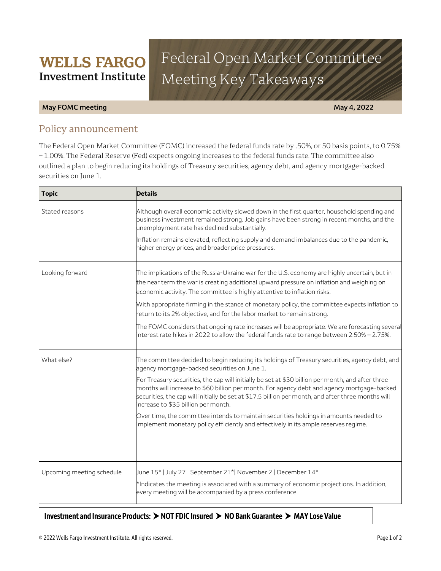# Federal Open Market Committee Meeting Key Takeaways

### **May FOMC meeting May 4, 2022**

# Policy announcement

**WELLS FARGO Investment Institute** 

The Federal Open Market Committee (FOMC) increased the federal funds rate by .50%, or 50 basis points, to 0.75% – 1.00%. The Federal Reserve (Fed) expects ongoing increases to the federal funds rate. The committee also outlined a plan to begin reducing its holdings of Treasury securities, agency debt, and agency mortgage-backed securities on June 1.

| <b>Topic</b>              | <b>Details</b>                                                                                                                                                                                                                                                                                                                               |
|---------------------------|----------------------------------------------------------------------------------------------------------------------------------------------------------------------------------------------------------------------------------------------------------------------------------------------------------------------------------------------|
| Stated reasons            | Although overall economic activity slowed down in the first quarter, household spending and<br>business investment remained strong. Job gains have been strong in recent months, and the<br>unemployment rate has declined substantially.                                                                                                    |
|                           | Inflation remains elevated, reflecting supply and demand imbalances due to the pandemic,<br>higher energy prices, and broader price pressures.                                                                                                                                                                                               |
| Looking forward           | The implications of the Russia-Ukraine war for the U.S. economy are highly uncertain, but in<br>the near term the war is creating additional upward pressure on inflation and weighing on<br>economic activity. The committee is highly attentive to inflation risks.                                                                        |
|                           | With appropriate firming in the stance of monetary policy, the committee expects inflation to<br>return to its 2% objective, and for the labor market to remain strong.                                                                                                                                                                      |
|                           | The FOMC considers that ongoing rate increases will be appropriate. We are forecasting several<br>interest rate hikes in 2022 to allow the federal funds rate to range between 2.50% - 2.75%.                                                                                                                                                |
| What else?                | The committee decided to begin reducing its holdings of Treasury securities, agency debt, and<br>agency mortgage-backed securities on June 1.                                                                                                                                                                                                |
|                           | For Treasury securities, the cap will initially be set at \$30 billion per month, and after three<br>months will increase to \$60 billion per month. For agency debt and agency mortgage-backed<br>securities, the cap will initially be set at \$17.5 billion per month, and after three months will<br>increase to \$35 billion per month. |
|                           | Over time, the committee intends to maintain securities holdings in amounts needed to<br>implement monetary policy efficiently and effectively in its ample reserves regime.                                                                                                                                                                 |
|                           |                                                                                                                                                                                                                                                                                                                                              |
| Upcoming meeting schedule | June 15*   July 27   September 21*  November 2   December 14*<br>*Indicates the meeting is associated with a summary of economic projections. In addition,                                                                                                                                                                                   |
|                           | every meeting will be accompanied by a press conference.                                                                                                                                                                                                                                                                                     |

## **Investment and Insurance Products: NOT FDIC Insured NO Bank Guarantee MAY Lose Value**